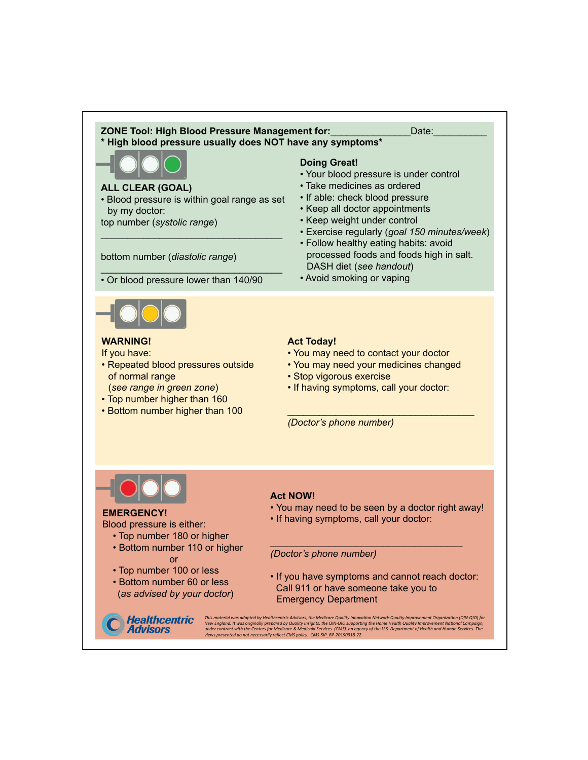#### **ZONE Tool: High Blood Pressure Management for: National Property Contact Property** Date: **\* High blood pressure usually does NOT have any symptoms\***

#### **ALL CLEAR (GOAL)**

• Blood pressure is within goal range as set by my doctor:

 $\mathcal{L}_\text{max}$  , and the set of the set of the set of the set of the set of the set of the set of the set of the set of the set of the set of the set of the set of the set of the set of the set of the set of the set of the

top number (*systolic range*)

bottom number (*diastolic range*)

 $\mathcal{L}_\text{max}$  , and the set of the set of the set of the set of the set of the set of the set of the set of the set of the set of the set of the set of the set of the set of the set of the set of the set of the set of the • Or blood pressure lower than 140/90

# **Doing Great!**

- Your blood pressure is under control
- Take medicines as ordered
- If able: check blood pressure
- Keep all doctor appointments
- Keep weight under control
- Exercise regularly (*goal 150 minutes/week*)
- Follow healthy eating habits: avoid processed foods and foods high in salt. DASH diet (*see handout*)
- Avoid smoking or vaping



## **WARNING!**

If you have:

- Repeated blood pressures outside of normal range (*see range in green zone*)
- Top number higher than 160
- Bottom number higher than 100

# **Act Today!**

- You may need to contact your doctor
- You may need your medicines changed
- Stop vigorous exercise
- If having symptoms, call your doctor:

\_\_\_\_\_\_\_\_\_\_\_\_\_\_\_\_\_\_\_\_\_\_\_\_\_\_\_\_\_\_\_\_\_\_\_ *(Doctor's phone number)*



### **EMERGENCY!**

Blood pressure is either:

- Top number 180 or higher
- Bottom number 110 or higher or
- Top number 100 or less

**Healthcentric Advisors** 

• Bottom number 60 or less (*as advised by your doctor*)

# **Act NOW!**

• You may need to be seen by a doctor right away!

\_\_\_\_\_\_\_\_\_\_\_\_\_\_\_\_\_\_\_\_\_\_\_\_\_\_\_\_\_\_\_\_\_\_\_\_

• If having symptoms, call your doctor:

*(Doctor's phone number)*

• If you have symptoms and cannot reach doctor: Call 911 or have someone take you to Emergency Department

This material was adapted by Healthcentric Advisors, the Medicare Quality Innovation Network-Quality Improvement Organization (QIN-QIO) for<br>New England. It was originally prepared by Quality Insights, the QIN-QIO supportin